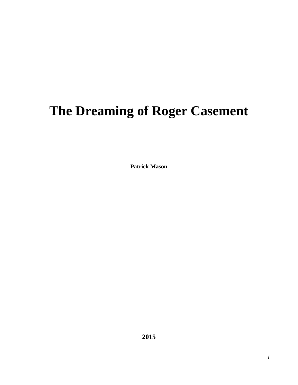# **The Dreaming of Roger Casement**

**Patrick Mason**

**2015**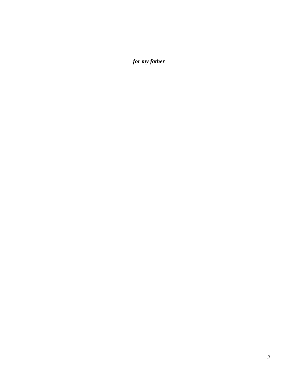*for my father*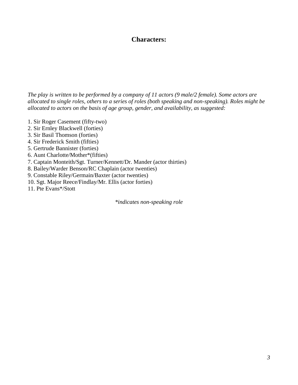# **Characters:**

*The play is written to be performed by a company of 11 actors (9 male/2 female). Some actors are allocated to single roles, others to a series of roles (both speaking and non-speaking). Roles might be allocated to actors on the basis of age group, gender, and availability, as suggested:*

- 1. Sir Roger Casement (fifty-two)
- 2. Sir Ernley Blackwell (forties)
- 3. Sir Basil Thomson (forties)
- 4. Sir Frederick Smith (fifties)
- 5. Gertrude Bannister (forties)
- 6. Aunt Charlotte/Mother\*(fifties)
- 7. Captain Monteith/Sgt. Turner/Kennett/Dr. Mander (actor thirties)
- 8. Bailey/Warder Benson/RC Chaplain (actor twenties)
- 9. Constable Riley/Germain/Baxter (actor twenties)
- 10. Sgt. Major Reece/Findlay/Mr. Ellis (actor forties)
- 11. Pte Evans\*/Stott

*\*indicates non-speaking role*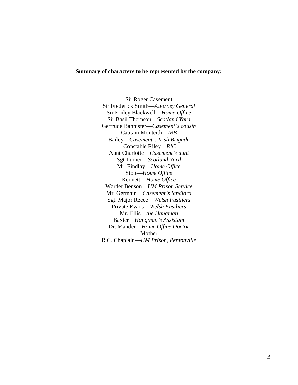#### **Summary of characters to be represented by the company:**

Sir Roger Casement Sir Frederick Smith—*Attorney General* Sir Ernley Blackwell—*Home Office* Sir Basil Thomson—*Scotland Yard* Gertrude Bannister—*Casement's cousin* Captain Monteith—*IRB* Bailey—*Casement's Irish Brigade* Constable Riley—*RIC* Aunt Charlotte—*Casement's aunt* Sgt Turner—*Scotland Yard* Mr. Findlay—*Home Office* Stott—*Home Office* Kennett—*Home Office* Warder Benson—*HM Prison Service*  Mr. Germain—*Casement's landlord* Sgt. Major Reece—*Welsh Fusiliers* Private Evans—*Welsh Fusiliers* Mr. Ellis—*the Hangman* Baxter—*Hangman's Assistant* Dr. Mander—*Home Office Doctor* Mother R.C. Chaplain—*HM Prison, Pentonville*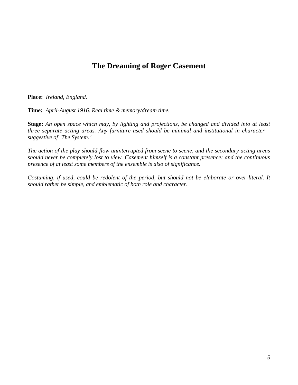# **The Dreaming of Roger Casement**

**Place:** *Ireland, England.*

**Time:** *April-August 1916. Real time & memory/dream time.*

**Stage:** *An open space which may, by lighting and projections, be changed and divided into at least three separate acting areas. Any furniture used should be minimal and institutional in character suggestive of 'The System.'*

*The action of the play should flow uninterrupted from scene to scene, and the secondary acting areas should never be completely lost to view. Casement himself is a constant presence: and the continuous presence of at least some members of the ensemble is also of significance.*

*Costuming, if used, could be redolent of the period, but should not be elaborate or over-literal. It should rather be simple, and emblematic of both role and character.*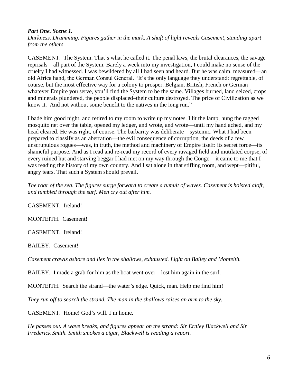#### *Part One. Scene 1.*

*Darkness. Drumming. Figures gather in the murk. A shaft of light reveals Casement, standing apart from the others.*

CASEMENT. The System. That's what he called it. The penal laws, the brutal clearances, the savage reprisals—all part of the System. Barely a week into my investigation, I could make no sense of the cruelty I had witnessed. I was bewildered by all I had seen and heard. But he was calm, measured—an old Africa hand, the German Consul General. "It's the only language they understand: regrettable, of course, but the most effective way for a colony to prosper. Belgian, British, French or German whatever Empire you serve, you'll find the System to be the same. Villages burned, land seized, crops and minerals plundered, the people displaced–their culture destroyed. The price of Civilization as we know it. And not without some benefit to the natives in the long run."

I bade him good night, and retired to my room to write up my notes. I lit the lamp, hung the ragged mosquito net over the table, opened my ledger, and wrote, and wrote—until my hand ached, and my head cleared. He was right, of course. The barbarity was deliberate—systemic. What I had been prepared to classify as an aberration—the evil consequence of corruption, the deeds of a few unscrupulous rogues—was, in truth, the method and machinery of Empire itself: its secret force—its shameful purpose. And as I read and re-read my record of every ravaged field and mutilated corpse, of every ruined hut and starving beggar I had met on my way through the Congo—it came to me that I was reading the history of my own country. And I sat alone in that stifling room, and wept—pitiful, angry tears. That such a System should prevail.

*The roar of the sea. The figures surge forward to create a tumult of waves. Casement is hoisted aloft, and tumbled through the surf. Men cry out after him.* 

CASEMENT. Ireland!

MONTEITH.Casement!

CASEMENT. Ireland!

BAILEY. Casement!

*Casement crawls ashore and lies in the shallows, exhausted. Light on Bailey and Monteith.* 

BAILEY. I made a grab for him as the boat went over—lost him again in the surf.

MONTEITH. Search the strand—the water's edge. Quick, man. Help me find him!

*They run off to search the strand. The man in the shallows raises an arm to the sky.*

CASEMENT. Home! God's will. I'm home.

*He passes out. A wave breaks, and figures appear on the strand: Sir Ernley Blackwell and Sir Frederick Smith. Smith smokes a cigar, Blackwell is reading a report.*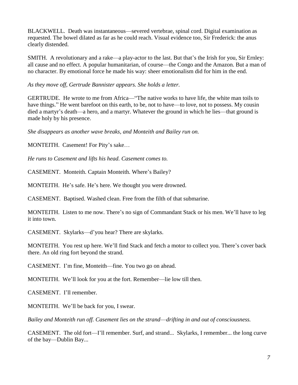BLACKWELL.Death was instantaneous—severed vertebrae, spinal cord. Digital examination as requested. The bowel dilated as far as he could reach. Visual evidence too, Sir Frederick: the anus clearly distended.

SMITH. A revolutionary and a rake—a play-actor to the last. But that's the Irish for you, Sir Ernley: all cause and no effect. A popular humanitarian, of course—the Congo and the Amazon. But a man of no character. By emotional force he made his way: sheer emotionalism did for him in the end.

*As they move off, Gertrude Bannister appears. She holds a letter.*

GERTRUDE.He wrote to me from Africa—"The native works to have life, the white man toils to have things." He went barefoot on this earth, to be, not to have—to love, not to possess. My cousin died a martyr's death—a hero, and a martyr. Whatever the ground in which he lies—that ground is made holy by his presence.

*She disappears as another wave breaks, and Monteith and Bailey run on.*

MONTEITH.Casement! For Pity's sake…

*He runs to Casement and lifts his head. Casement comes to.*

CASEMENT.Monteith. Captain Monteith. Where's Bailey?

MONTEITH. He's safe. He's here. We thought you were drowned.

CASEMENT. Baptised. Washed clean. Free from the filth of that submarine.

MONTEITH. Listen to me now. There's no sign of Commandant Stack or his men. We'll have to leg it into town.

CASEMENT. Skylarks—d'you hear? There are skylarks.

MONTEITH. You rest up here. We'll find Stack and fetch a motor to collect you. There's cover back there. An old ring fort beyond the strand.

CASEMENT. I'm fine, Monteith—fine. You two go on ahead.

MONTEITH. We'll look for you at the fort. Remember—lie low till then.

CASEMENT. I'll remember.

MONTEITH. We'll be back for you, I swear.

*Bailey and Monteith run off. Casement lies on the strand*—*drifting in and out of consciousness.*

CASEMENT.The old fort—I'll remember. Surf, and strand... Skylarks, I remember... the long curve of the bay—Dublin Bay...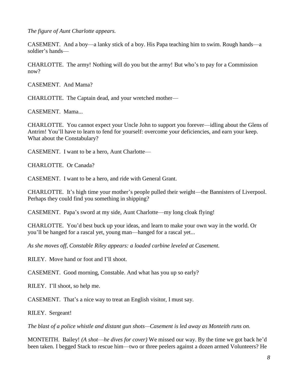*The figure of Aunt Charlotte appears.*

CASEMENT. And a boy—a lanky stick of a boy. His Papa teaching him to swim. Rough hands—a soldier's hands—

CHARLOTTE. The army! Nothing will do you but the army! But who's to pay for a Commission now?

CASEMENT. And Mama?

CHARLOTTE. The Captain dead, and your wretched mother—

CASEMENT. Mama...

CHARLOTTE. You cannot expect your Uncle John to support you forever—idling about the Glens of Antrim! You'll have to learn to fend for yourself: overcome your deficiencies, and earn your keep. What about the Constabulary?

CASEMENT. I want to be a hero, Aunt Charlotte—

CHARLOTTE.Or Canada?

CASEMENT.I want to be a hero, and ride with General Grant.

CHARLOTTE. It's high time your mother's people pulled their weight—the Bannisters of Liverpool. Perhaps they could find you something in shipping?

CASEMENT. Papa's sword at my side, Aunt Charlotte—my long cloak flying!

CHARLOTTE. You'd best buck up your ideas, and learn to make your own way in the world. Or you'll be hanged for a rascal yet, young man—hanged for a rascal yet...

*As she moves off, Constable Riley appears: a loaded carbine leveled at Casement.*

RILEY.Move hand or foot and I'll shoot.

CASEMENT. Good morning, Constable. And what has you up so early?

RILEY.I'll shoot, so help me.

CASEMENT.That's a nice way to treat an English visitor, I must say.

RILEY. Sergeant!

*The blast of a police whistle and distant gun shots—Casement is led away as Monteith runs on.* 

MONTEITH.Bailey! *(A shot*—*he dives for cover)* We missed our way. By the time we got back he'd been taken. I begged Stack to rescue him—two or three peelers against a dozen armed Volunteers? He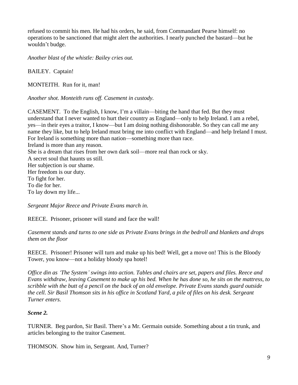refused to commit his men. He had his orders, he said, from Commandant Pearse himself: no operations to be sanctioned that might alert the authorities. I nearly punched the bastard—but he wouldn't budge.

*Another blast of the whistle: Bailey cries out.*

BAILEY. Captain!

MONTEITH.Run for it, man!

*Another shot. Monteith runs off. Casement in custody.*

CASEMENT. To the English, I know, I'm a villain—biting the hand that fed. But they must understand that I never wanted to hurt their country as England—only to help Ireland. I am a rebel, yes—in their eyes a traitor, I know—but I am doing nothing dishonorable. So they can call me any name they like, but to help Ireland must bring me into conflict with England—and help Ireland I must. For Ireland is something more than nation—something more than race. Ireland is more than any reason. She is a dream that rises from her own dark soil—more real than rock or sky. A secret soul that haunts us still. Her subjection is our shame. Her freedom is our duty. To fight for her. To die for her. To lay down my life...

*Sergeant Major Reece and Private Evans march in.*

REECE. Prisoner, prisoner will stand and face the wall!

*Casement stands and turns to one side as Private Evans brings in the bedroll and blankets and drops them on the floor*

REECE.Prisoner! Prisoner will turn and make up his bed! Well, get a move on! This is the Bloody Tower, you know—not a holiday bloody spa hotel!

*Office din as 'The System' swings into action. Tables and chairs are set, papers and files. Reece and Evans withdraw, leaving Casement to make up his bed. When he has done so, he sits on the mattress, to scribble with the butt of a pencil on the back of an old envelope. Private Evans stands guard outside the cell. Sir Basil Thomson sits in his office in Scotland Yard, a pile of files on his desk. Sergeant Turner enters.*

### *Scene 2.*

TURNER. Beg pardon, Sir Basil. There's a Mr. Germain outside. Something about a tin trunk, and articles belonging to the traitor Casement.

THOMSON. Show him in, Sergeant. And, Turner?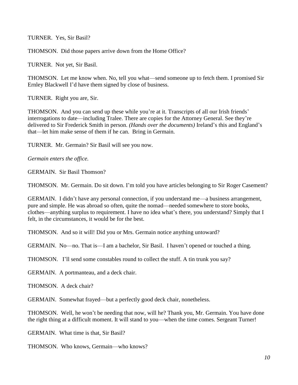TURNER. Yes, Sir Basil?

THOMSON. Did those papers arrive down from the Home Office?

TURNER. Not yet, Sir Basil.

THOMSON. Let me know when. No, tell you what—send someone up to fetch them. I promised Sir Ernley Blackwell I'd have them signed by close of business.

TURNER. Right you are, Sir.

THOMSON. And you can send up these while you're at it. Transcripts of all our Irish friends' interrogations to date—including Tralee. There are copies for the Attorney General. See they're delivered to Sir Frederick Smith in person. *(Hands over the documents)* Ireland's this and England's that—let him make sense of them if he can. Bring in Germain.

TURNER.Mr. Germain? Sir Basil will see you now.

*Germain enters the office.*

GERMAIN. Sir Basil Thomson?

THOMSON. Mr. Germain. Do sit down. I'm told you have articles belonging to Sir Roger Casement?

GERMAIN. I didn't have any personal connection, if you understand me—a business arrangement, pure and simple. He was abroad so often, quite the nomad—needed somewhere to store books, clothes—anything surplus to requirement. I have no idea what's there, you understand? Simply that I felt, in the circumstances, it would be for the best.

THOMSON. And so it will! Did you or Mrs. Germain notice anything untoward?

GERMAIN. No—no. That is—I am a bachelor, Sir Basil. I haven't opened or touched a thing.

THOMSON. I'll send some constables round to collect the stuff. A tin trunk you say?

GERMAIN.A portmanteau, and a deck chair.

THOMSON. A deck chair?

GERMAIN. Somewhat frayed—but a perfectly good deck chair, nonetheless.

THOMSON. Well, he won't be needing that now, will he? Thank you, Mr. Germain. You have done the right thing at a difficult moment. It will stand to you—when the time comes. Sergeant Turner!

GERMAIN. What time is that, Sir Basil?

THOMSON. Who knows, Germain—who knows?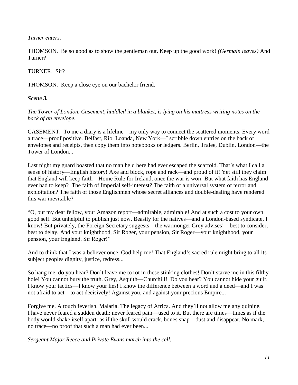### *Turner enters.*

THOMSON.Be so good as to show the gentleman out. Keep up the good work! *(Germain leaves)* And Turner?

# TURNER.Sir?

THOMSON. Keep a close eye on our bachelor friend.

# *Scene 3.*

*The Tower of London. Casement, huddled in a blanket, is lying on his mattress writing notes on the back of an envelope.*

CASEMENT. To me a diary is a lifeline—my only way to connect the scattered moments. Every word a trace—proof positive. Belfast, Rio, Loanda, New York—I scribble down entries on the back of envelopes and receipts, then copy them into notebooks or ledgers. Berlin, Tralee, Dublin, London—the Tower of London...

Last night my guard boasted that no man held here had ever escaped the scaffold. That's what I call a sense of history—English history! Axe and block, rope and rack—and proud of it! Yet still they claim that England will keep faith—Home Rule for Ireland, once the war is won! But what faith has England ever had to keep? The faith of Imperial self-interest? The faith of a universal system of terror and exploitation? The faith of those Englishmen whose secret alliances and double-dealing have rendered this war inevitable?

"O, but my dear fellow, your Amazon report—admirable, admirable! And at such a cost to your own good self. But unhelpful to publish just now. Beastly for the natives—and a London-based syndicate, I know! But privately, the Foreign Secretary suggests—the warmonger Grey advises!—best to consider, best to delay. And your knighthood, Sir Roger, your pension, Sir Roger—your knighthood, your pension, your England, Sir Roger!"

And to think that I was a believer once. God help me! That England's sacred rule might bring to all its subject peoples dignity, justice, redress...

So hang me, do you hear? Don't leave me to rot in these stinking clothes! Don't starve me in this filthy hole! You cannot bury the truth. Grey, Asquith—Churchill! Do you hear? You cannot hide your guilt. I know your tactics—I know your lies! I know the difference between a word and a deed—and I was not afraid to act—to act decisively! Against you, and against your precious Empire...

Forgive me. A touch feverish. Malaria. The legacy of Africa. And they'll not allow me any quinine. I have never feared a sudden death: never feared pain—used to it. But there are times—times as if the body would shake itself apart: as if the skull would crack, bones snap—dust and disappear. No mark, no trace—no proof that such a man had ever been...

*Sergeant Major Reece and Private Evans march into the cell.*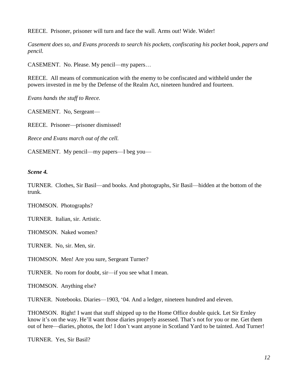REECE.Prisoner, prisoner will turn and face the wall. Arms out! Wide. Wider!

*Casement does so, and Evans proceeds to search his pockets, confiscating his pocket book, papers and pencil.*

CASEMENT.No. Please. My pencil—my papers…

REECE. All means of communication with the enemy to be confiscated and withheld under the powers invested in me by the Defense of the Realm Act, nineteen hundred and fourteen.

*Evans hands the stuff to Reece.*

CASEMENT. No, Sergeant—

REECE. Prisoner—prisoner dismissed!

*Reece and Evans march out of the cell.*

CASEMENT. My pencil—my papers—I beg you—

*Scene 4.*

TURNER. Clothes, Sir Basil—and books. And photographs, Sir Basil—hidden at the bottom of the trunk.

THOMSON. Photographs?

TURNER. Italian, sir. Artistic.

THOMSON. Naked women?

TURNER. No, sir. Men, sir.

THOMSON. Men! Are you sure, Sergeant Turner?

TURNER. No room for doubt, sir—if you see what I mean.

THOMSON.Anything else?

TURNER. Notebooks. Diaries—1903, '04. And a ledger, nineteen hundred and eleven.

THOMSON. Right! I want that stuff shipped up to the Home Office double quick. Let Sir Ernley know it's on the way. He'll want those diaries properly assessed. That's not for you or me. Get them out of here—diaries, photos, the lot! I don't want anyone in Scotland Yard to be tainted. And Turner!

TURNER. Yes, Sir Basil?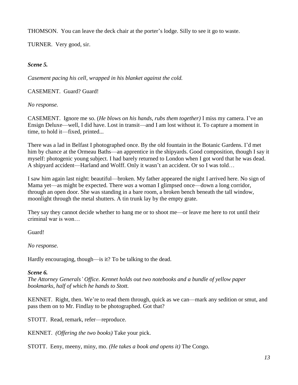THOMSON. You can leave the deck chair at the porter's lodge. Silly to see it go to waste.

TURNER.Very good, sir.

# *Scene 5.*

*Casement pacing his cell, wrapped in his blanket against the cold.* 

CASEMENT.Guard? Guard!

*No response.* 

CASEMENT. Ignore me so. (*He blows on his hands, rubs them together)* I miss my camera. I've an Ensign Deluxe—well, I did have. Lost in transit—and I am lost without it. To capture a moment in time, to hold it—fixed, printed...

There was a lad in Belfast I photographed once. By the old fountain in the Botanic Gardens. I'd met him by chance at the Ormeau Baths—an apprentice in the shipyards. Good composition, though I say it myself: photogenic young subject. I had barely returned to London when I got word that he was dead. A shipyard accident—Harland and Wolff. Only it wasn't an accident. Or so I was told…

I saw him again last night: beautiful—broken. My father appeared the night I arrived here. No sign of Mama yet—as might be expected. There *was* a woman I glimpsed once—down a long corridor, through an open door. She was standing in a bare room, a broken bench beneath the tall window, moonlight through the metal shutters. A tin trunk lay by the empty grate.

They say they cannot decide whether to hang me or to shoot me—or leave me here to rot until their criminal war is won…

Guard!

*No response.*

Hardly encouraging, though—is it? To be talking to the dead.

### *Scene 6.*

*The Attorney Generals' Office. Kennet holds out two notebooks and a bundle of yellow paper bookmarks, half of which he hands to Stott.*

KENNET. Right, then. We're to read them through, quick as we can—mark any sedition or smut, and pass them on to Mr. Findlay to be photographed. Got that?

STOTT.Read, remark, refer—reproduce.

KENNET.*(Offering the two books)* Take your pick.

STOTT.Eeny, meeny, miny, mo. *(He takes a book and opens it)* The Congo.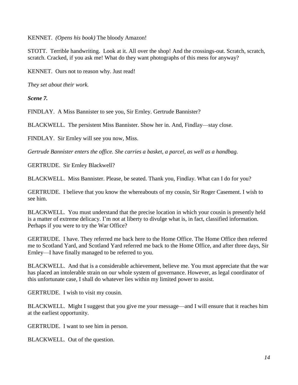KENNET. *(Opens his book)* The bloody Amazon!

STOTT. Terrible handwriting. Look at it. All over the shop! And the crossings-out. Scratch, scratch, scratch. Cracked, if you ask me! What do they want photographs of this mess for anyway?

KENNET. Ours not to reason why. Just read!

*They set about their work.*

*Scene 7.*

FINDLAY.A Miss Bannister to see you, Sir Ernley. Gertrude Bannister?

BLACKWELL. The persistent Miss Bannister. Show her in. And, Findlay—stay close.

FINDLAY. Sir Ernley will see you now, Miss.

*Gertrude Bannister enters the office. She carries a basket, a parcel, as well as a handbag.*

GERTRUDE. Sir Ernley Blackwell?

BLACKWELL. Miss Bannister. Please, be seated. Thank you, Findlay. What can I do for you?

GERTRUDE. I believe that you know the whereabouts of my cousin, Sir Roger Casement. I wish to see him.

BLACKWELL. You must understand that the precise location in which your cousin is presently held is a matter of extreme delicacy. I'm not at liberty to divulge what is, in fact, classified information. Perhaps if you were to try the War Office?

GERTRUDE. I have. They referred me back here to the Home Office. The Home Office then referred me to Scotland Yard, and Scotland Yard referred me back to the Home Office, and after three days, Sir Ernley—I have finally managed to be referred to you.

BLACKWELL. And that is a considerable achievement, believe me. You must appreciate that the war has placed an intolerable strain on our whole system of governance. However, as legal coordinator of this unfortunate case, I shall do whatever lies within my limited power to assist.

GERTRUDE. I wish to visit my cousin.

BLACKWELL. Might I suggest that you give me your message—and I will ensure that it reaches him at the earliest opportunity.

GERTRUDE. I want to see him in person.

BLACKWELL. Out of the question.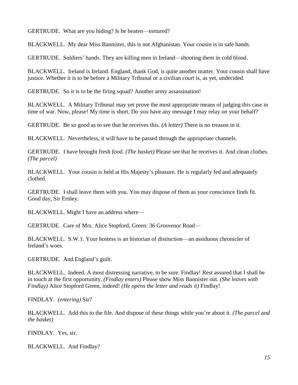GERTRUDE. What are you hiding? Is he beaten—tortured?

BLACKWELL. My dear Miss Bannister, this is not Afghanistan. Your cousin is in safe hands.

GERTRUDE. Soldiers' hands. They are killing men in Ireland—shooting them in cold blood.

BLACKWELL. Ireland is Ireland. England, thank God, is quite another matter. Your cousin shall have justice. Whether it is to be before a Military Tribunal or a civilian court is, as yet, undecided.

GERTRUDE. So it is to be the firing squad? Another army assassination!

BLACKWELL. A Military Tribunal may yet prove the most appropriate means of judging this case in time of war. Now, please! My time is short. Do you have any message I may relay on your behalf?

GERTRUDE. Be so good as to see that he receives this. *(A letter)* There is no treason in it.

BLACKWELL. Nevertheless, it will have to be passed through the appropriate channels.

GERTRUDE. I have brought fresh food. *(The basket)* Please see that he receives it. And clean clothes. *(The parcel)*

BLACKWELL. Your cousin is held at His Majesty's pleasure. He is regularly fed and adequately clothed.

GERTRUDE. I shall leave them with you. You may dispose of them as your conscience finds fit. Good day, Sir Ernley.

BLACKWELL. Might I have an address where—

GERTRUDE.Care of Mrs. Alice Stopford, Green: 36 Grosvenor Road—

BLACKWELL. S.W.1. Your hostess is an historian of distinction—an assiduous chronicler of Ireland's woes.

GERTRUDE. And England's guilt.

BLACKWELL. Indeed. A most distressing narrative, to be sure. Findlay! Rest assured that I shall be in touch at the first opportunity. *(Findlay enters)* Please show Miss Bannister out. *(She leaves with Findlay)* Alice Stopford Green, indeed! *(He opens the letter and reads it)* Findlay!

FINDLAY. *(entering)* Sir?

BLACKWELL. Add this to the file. And dispose of these things while you're about it. *(The parcel and the basket)*

FINDLAY. Yes, sir.

BLACKWELL. And Findlay?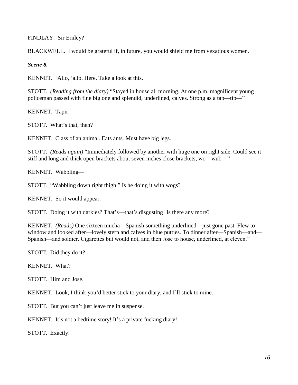FINDLAY. Sir Ernley?

BLACKWELL. I would be grateful if, in future, you would shield me from vexatious women.

*Scene 8.*

KENNET. 'Allo, 'allo. Here. Take a look at this.

STOTT. *(Reading from the diary)* "Stayed in house all morning. At one p.m. magnificent young policeman passed with fine big one and splendid, underlined, calves. Strong as a tap—tip—"

KENNET. Tapir!

STOTT. What's that, then?

KENNET. Class of an animal. Eats ants. Must have big legs.

STOTT. *(Reads again)* "Immediately followed by another with huge one on right side. Could see it stiff and long and thick open brackets about seven inches close brackets, wo—wub—"

KENNET. Wabbling—

STOTT. "Wabbling down right thigh." Is he doing it with wogs?

KENNET. So it would appear.

STOTT. Doing it with darkies? That's—that's disgusting! Is there any more?

KENNET. *(Reads)* One sixteen mucha—Spanish something underlined—just gone past. Flew to window and looked after—lovely stern and calves in blue putties. To dinner after—Spanish—and— Spanish—and soldier. Cigarettes but would not, and then Jose to house, underlined, at eleven."

STOTT. Did they do it?

KENNET. What?

STOTT. Him and Jose.

KENNET. Look, I think you'd better stick to your diary, and I'll stick to mine.

STOTT. But you can't just leave me in suspense.

KENNET. It's not a bedtime story! It's a private fucking diary!

STOTT. Exactly!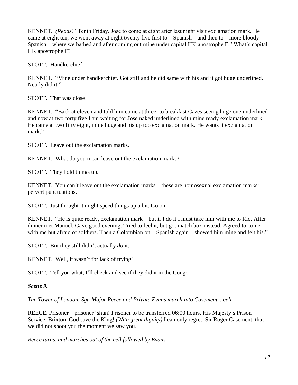KENNET. *(Reads)* "Tenth Friday. Jose to come at eight after last night visit exclamation mark. He came at eight ten, we went away at eight twenty five first to—Spanish—and then to—more bloody Spanish—where we bathed and after coming out mine under capital HK apostrophe F." What's capital HK apostrophe F?

STOTT. Handkerchief!

KENNET. "Mine under handkerchief. Got stiff and he did same with his and it got huge underlined. Nearly did it."

STOTT. That was close!

KENNET. "Back at eleven and told him come at three: to breakfast Cazes seeing huge one underlined and now at two forty five I am waiting for Jose naked underlined with mine ready exclamation mark. He came at two fifty eight, mine huge and his up too exclamation mark. He wants it exclamation mark."

STOTT. Leave out the exclamation marks.

KENNET. What do you mean leave out the exclamation marks?

STOTT. They hold things up.

KENNET. You can't leave out the exclamation marks—these are homosexual exclamation marks: pervert punctuations.

STOTT. Just thought it might speed things up a bit. Go on.

KENNET. "He is quite ready, exclamation mark—but if I do it I must take him with me to Rio. After dinner met Manuel. Gave good evening. Tried to feel it, but got match box instead. Agreed to come with me but afraid of soldiers. Then a Colombian on—Spanish again—showed him mine and felt his."

STOTT. But they still didn't actually *do* it.

KENNET. Well, it wasn't for lack of trying!

STOTT. Tell you what, I'll check and see if they did it in the Congo.

*Scene 9.*

*The Tower of London. Sgt. Major Reece and Private Evans march into Casement's cell.*

REECE. Prisoner—prisoner 'shun! Prisoner to be transferred 06:00 hours. His Majesty's Prison Service, Brixton. God save the King! *(With great dignity)* I can only regret, Sir Roger Casement, that we did not shoot you the moment we saw you.

*Reece turns, and marches out of the cell followed by Evans.*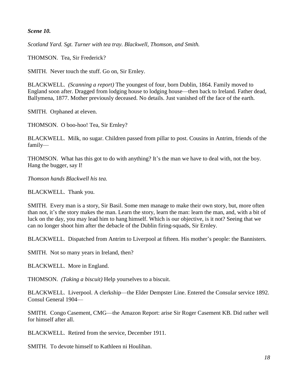#### *Scene 10.*

*Scotland Yard. Sgt. Turner with tea tray. Blackwell, Thomson, and Smith.*

THOMSON. Tea, Sir Frederick?

SMITH. Never touch the stuff. Go on, Sir Ernley.

BLACKWELL. *(Scanning a report)* The youngest of four, born Dublin, 1864. Family moved to England soon after. Dragged from lodging house to lodging house—then back to Ireland. Father dead, Ballymena, 1877. Mother previously deceased. No details. Just vanished off the face of the earth.

SMITH. Orphaned at eleven.

THOMSON. O boo-hoo! Tea, Sir Ernley?

BLACKWELL. Milk, no sugar. Children passed from pillar to post. Cousins in Antrim, friends of the family—

THOMSON. What has this got to do with anything? It's the man we have to deal with, not the boy. Hang the bugger, say I!

*Thomson hands Blackwell his tea.*

BLACKWELL. Thank you.

SMITH. Every man is a story, Sir Basil. Some men manage to make their own story, but, more often than not, it's the story makes the man. Learn the story, learn the man: learn the man, and, with a bit of luck on the day, you may lead him to hang himself. Which is our objective, is it not? Seeing that we can no longer shoot him after the debacle of the Dublin firing-squads, Sir Ernley.

BLACKWELL. Dispatched from Antrim to Liverpool at fifteen. His mother's people: the Bannisters.

SMITH. Not so many years in Ireland, then?

BLACKWELL. More in England.

THOMSON. *(Taking a biscuit)* Help yourselves to a biscuit.

BLACKWELL. Liverpool. A clerkship—the Elder Dempster Line. Entered the Consular service 1892. Consul General 1904—

SMITH. Congo Casement, CMG—the Amazon Report: arise Sir Roger Casement KB. Did rather well for himself after all.

BLACKWELL. Retired from the service, December 1911.

SMITH. To devote himself to Kathleen ni Houlihan.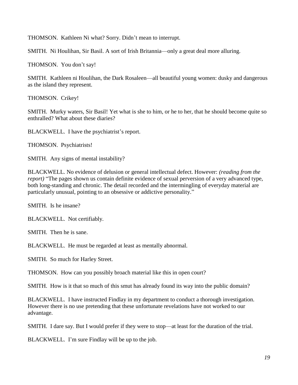THOMSON. Kathleen Ni what? Sorry. Didn't mean to interrupt.

SMITH. Ni Houlihan, Sir Basil. A sort of Irish Britannia—only a great deal more alluring.

THOMSON. You don't say!

SMITH. Kathleen ni Houlihan, the Dark Rosaleen—all beautiful young women: dusky and dangerous as the island they represent.

THOMSON. Crikey!

SMITH. Murky waters, Sir Basil! Yet what is she to him, or he to her, that he should become quite so enthralled? What about these diaries?

BLACKWELL. I have the psychiatrist's report.

THOMSON. Psychiatrists!

SMITH. Any signs of mental instability?

BLACKWELL. No evidence of delusion or general intellectual defect. However: *(reading from the report)* "The pages shown us contain definite evidence of sexual perversion of a very advanced type, both long-standing and chronic. The detail recorded and the intermingling of everyday material are particularly unusual, pointing to an obsessive or addictive personality."

SMITH. Is he insane?

BLACKWELL. Not certifiably.

SMITH. Then he is sane.

BLACKWELL. He must be regarded at least as mentally abnormal.

SMITH. So much for Harley Street.

THOMSON. How can you possibly broach material like this in open court?

SMITH. How is it that so much of this smut has already found its way into the public domain?

BLACKWELL. I have instructed Findlay in my department to conduct a thorough investigation. However there is no use pretending that these unfortunate revelations have not worked to our advantage.

SMITH. I dare say. But I would prefer if they were to stop—at least for the duration of the trial.

BLACKWELL. I'm sure Findlay will be up to the job.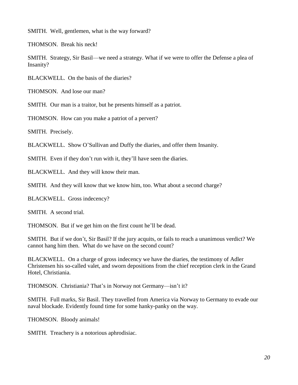SMITH. Well, gentlemen, what is the way forward?

THOMSON. Break his neck!

SMITH. Strategy, Sir Basil—we need a strategy. What if we were to offer the Defense a plea of Insanity?

BLACKWELL. On the basis of the diaries?

THOMSON. And lose our man?

SMITH. Our man is a traitor, but he presents himself as a patriot.

THOMSON. How can you make a patriot of a pervert?

SMITH. Precisely.

BLACKWELL. Show O'Sullivan and Duffy the diaries, and offer them Insanity.

SMITH. Even if they don't run with it, they'll have seen the diaries.

BLACKWELL. And they will know their man.

SMITH. And they will know that we know him, too. What about a second charge?

BLACKWELL. Gross indecency?

SMITH. A second trial.

THOMSON. But if we get him on the first count he'll be dead.

SMITH. But if we don't, Sir Basil? If the jury acquits, or fails to reach a unanimous verdict? We cannot hang him then. What do we have on the second count?

BLACKWELL. On a charge of gross indecency we have the diaries, the testimony of Adler Christensen his so-called valet, and sworn depositions from the chief reception clerk in the Grand Hotel, Christiania.

THOMSON. Christiania? That's in Norway not Germany—isn't it?

SMITH. Full marks, Sir Basil. They travelled from America via Norway to Germany to evade our naval blockade. Evidently found time for some hanky-panky on the way.

THOMSON. Bloody animals!

SMITH. Treachery is a notorious aphrodisiac.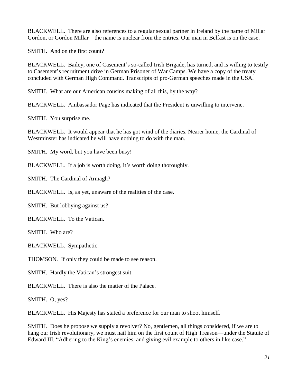BLACKWELL. There are also references to a regular sexual partner in Ireland by the name of Millar Gordon, or Gordon Millar—the name is unclear from the entries. Our man in Belfast is on the case.

SMITH. And on the first count?

BLACKWELL. Bailey, one of Casement's so-called Irish Brigade, has turned, and is willing to testify to Casement's recruitment drive in German Prisoner of War Camps. We have a copy of the treaty concluded with German High Command. Transcripts of pro-German speeches made in the USA.

SMITH. What are our American cousins making of all this, by the way?

BLACKWELL. Ambassador Page has indicated that the President is unwilling to intervene.

SMITH. You surprise me.

BLACKWELL. It would appear that he has got wind of the diaries. Nearer home, the Cardinal of Westminster has indicated he will have nothing to do with the man.

SMITH. My word, but you have been busy!

BLACKWELL. If a job is worth doing, it's worth doing thoroughly.

SMITH. The Cardinal of Armagh?

BLACKWELL. Is, as yet, unaware of the realities of the case.

SMITH. But lobbying against us?

BLACKWELL. To the Vatican.

SMITH. Who are?

BLACKWELL. Sympathetic.

THOMSON. If only they could be made to see reason.

SMITH. Hardly the Vatican's strongest suit.

BLACKWELL. There is also the matter of the Palace.

SMITH. O, yes?

BLACKWELL. His Majesty has stated a preference for our man to shoot himself.

SMITH. Does he propose we supply a revolver? No, gentlemen, all things considered, if we are to hang our Irish revolutionary, we must nail him on the first count of High Treason—under the Statute of Edward III. "Adhering to the King's enemies, and giving evil example to others in like case."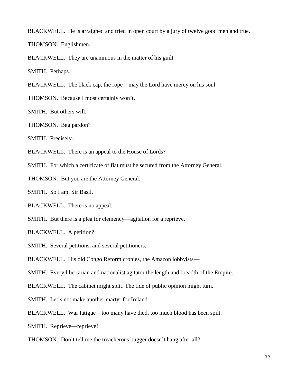BLACKWELL. He is arraigned and tried in open court by a jury of twelve good men and true.

THOMSON. Englishmen.

BLACKWELL. They are unanimous in the matter of his guilt.

SMITH. Perhaps.

BLACKWELL. The black cap, the rope—may the Lord have mercy on his soul.

THOMSON. Because I most certainly won't.

SMITH. But others will.

THOMSON. Beg pardon?

SMITH. Precisely.

BLACKWELL. There is an appeal to the House of Lords?

SMITH. For which a certificate of fiat must be secured from the Attorney General.

THOMSON. But you are the Attorney General.

SMITH. So I am, Sir Basil.

BLACKWELL. There is no appeal.

SMITH. But there is a plea for clemency—agitation for a reprieve.

BLACKWELL. A petition?

SMITH. Several petitions, and several petitioners.

BLACKWELL. His old Congo Reform cronies, the Amazon lobbyists—

SMITH. Every libertarian and nationalist agitator the length and breadth of the Empire.

BLACKWELL. The cabinet might split. The tide of public opinion might turn.

SMITH. Let's not make another martyr for Ireland.

BLACKWELL. War fatigue—too many have died, too much blood has been spilt.

SMITH. Reprieve—reprieve!

THOMSON. Don't tell me the treacherous bugger doesn't hang after all?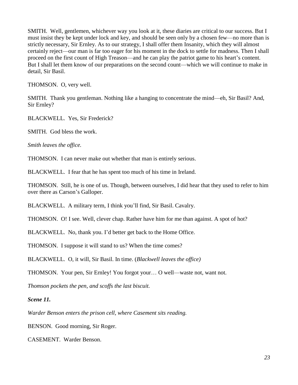SMITH. Well, gentlemen, whichever way you look at it, these diaries are critical to our success. But I must insist they be kept under lock and key, and should be seen only by a chosen few—no more than is strictly necessary, Sir Ernley. As to our strategy, I shall offer them Insanity, which they will almost certainly reject—our man is far too eager for his moment in the dock to settle for madness. Then I shall proceed on the first count of High Treason—and he can play the patriot game to his heart's content. But I shall let them know of our preparations on the second count—which we will continue to make in detail, Sir Basil.

THOMSON. O, very well.

SMITH. Thank you gentleman. Nothing like a hanging to concentrate the mind—eh, Sir Basil? And, Sir Ernley?

BLACKWELL. Yes, Sir Frederick?

SMITH. God bless the work.

*Smith leaves the office.* 

THOMSON. I can never make out whether that man is entirely serious.

BLACKWELL. I fear that he has spent too much of his time in Ireland.

THOMSON. Still, he is one of us. Though, between ourselves, I did hear that they used to refer to him over there as Carson's Galloper.

BLACKWELL. A military term, I think you'll find, Sir Basil. Cavalry.

THOMSON. O! I see. Well, clever chap. Rather have him for me than against. A spot of hot?

BLACKWELL. No, thank you. I'd better get back to the Home Office.

THOMSON. I suppose it will stand to us? When the time comes?

BLACKWELL. O, it will, Sir Basil. In time. (*Blackwell leaves the office)*

THOMSON. Your pen, Sir Ernley! You forgot your… O well—waste not, want not.

*Thomson pockets the pen, and scoffs the last biscuit.* 

*Scene 11.*

*Warder Benson enters the prison cell, where Casement sits reading.*

BENSON. Good morning, Sir Roger.

CASEMENT. Warder Benson.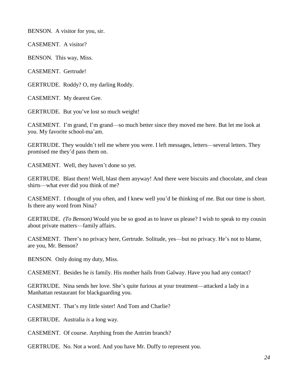BENSON. A visitor for you, sir.

CASEMENT. A visitor?

BENSON. This way, Miss.

CASEMENT. Gertrude!

GERTRUDE. Roddy? O, my darling Roddy.

CASEMENT. My dearest Gee.

GERTRUDE. But you've lost so much weight!

CASEMENT. I'm grand, I'm grand—so much better since they moved me here. But let me look at you. My favorite school-ma'am.

GERTRUDE. They wouldn't tell me where you were. I left messages, letters—several letters. They promised me they'd pass them on.

CASEMENT. Well, they haven't done so yet.

GERTRUDE. Blast them! Well, blast them anyway! And there were biscuits and chocolate, and clean shirts—what ever did you think of me?

CASEMENT. I thought of you often, and I knew well you'd be thinking of me. But our time is short. Is there any word from Nina?

GERTRUDE. *(To Benson)* Would you be so good as to leave us please? I wish to speak to my cousin about private matters—family affairs.

CASEMENT. There's no privacy here, Gertrude. Solitude, yes—but no privacy. He's not to blame, are you, Mr. Benson?

BENSON. Only doing my duty, Miss.

CASEMENT. Besides he *is* family. His mother hails from Galway. Have you had any contact?

GERTRUDE. Nina sends her love. She's quite furious at your treatment—attacked a lady in a Manhattan restaurant for blackguarding you.

CASEMENT. That's my little sister! And Tom and Charlie?

GERTRUDE. Australia *is* a long way.

CASEMENT. Of course. Anything from the Antrim branch?

GERTRUDE. No. Not a word. And you have Mr. Duffy to represent you.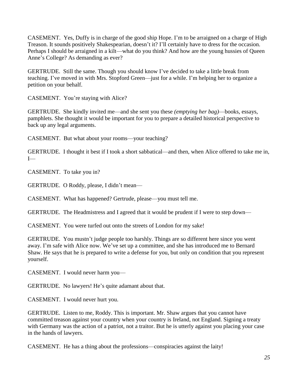CASEMENT. Yes, Duffy is in charge of the good ship Hope. I'm to be arraigned on a charge of High Treason. It sounds positively Shakespearian, doesn't it? I'll certainly have to dress for the occasion. Perhaps I should be arraigned in a kilt—what do you think? And how are the young hussies of Queen Anne's College? As demanding as ever?

GERTRUDE. Still the same. Though you should know I've decided to take a little break from teaching. I've moved in with Mrs. Stopford Green—just for a while. I'm helping her to organize a petition on your behalf.

CASEMENT. You're staying with Alice?

GERTRUDE. She kindly invited me—and she sent you these *(emptying her bag)*—books, essays, pamphlets. She thought it would be important for you to prepare a detailed historical perspective to back up any legal arguments.

CASEMENT. But what about your rooms—your teaching?

GERTRUDE. I thought it best if I took a short sabbatical—and then, when Alice offered to take me in, I—

CASEMENT. To take you in?

GERTRUDE. O Roddy, please, I didn't mean—

CASEMENT. What has happened? Gertrude, please—you must tell me.

GERTRUDE. The Headmistress and I agreed that it would be prudent if I were to step down—

CASEMENT. You were turfed out onto the streets of London for my sake!

GERTRUDE. You mustn't judge people too harshly. Things are so different here since you went away. I'm safe with Alice now. We've set up a committee, and she has introduced me to Bernard Shaw. He says that he is prepared to write a defense for you, but only on condition that you represent yourself.

CASEMENT. I would never harm you—

GERTRUDE. No lawyers! He's quite adamant about that.

CASEMENT. I would never hurt you.

GERTRUDE. Listen to me, Roddy. This is important. Mr. Shaw argues that you cannot have committed treason against your country when your country is Ireland, not England. Signing a treaty with Germany was the action of a patriot, not a traitor. But he is utterly against you placing your case in the hands of lawyers.

CASEMENT. He has a thing about the professions—conspiracies against the laity!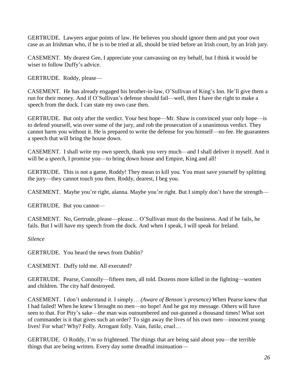GERTRUDE. Lawyers argue points of law. He believes you should ignore them and put your own case as an Irishman who, if he is to be tried at all, should be tried before an Irish court, by an Irish jury.

CASEMENT. My dearest Gee, I appreciate your canvassing on my behalf, but I think it would be wiser to follow Duffy's advice.

GERTRUDE. Roddy, please—

CASEMENT. He has already engaged his brother-in-law, O'Sullivan of King's Inn. He'll give them a run for their money. And if O'Sullivan's defense should fail—well, then I have the right to make a speech from the dock. I can state my own case then.

GERTRUDE. But only after the verdict. Your best hope—Mr. Shaw is convinced your only hope—is to defend yourself, win over some of the jury, and rob the prosecution of a unanimous verdict. They cannot harm you without it. He is prepared to write the defense for you himself—no fee. He guarantees a speech that will bring the house down.

CASEMENT. I shall write my own speech, thank you very much—and I shall deliver it myself. And it will be a *speech*, I promise you—to bring down house and Empire, King and all!

GERTRUDE. This is not a game, Roddy! They mean to kill you. You must save yourself by splitting the jury—they cannot touch you then. Roddy, dearest, I beg you.

CASEMENT. Maybe you're right, alanna. Maybe you're right. But I simply don't have the strength—

GERTRUDE. But you cannot—

CASEMENT. No, Gertrude, please—please… O'Sullivan must do the business. And if he fails, he fails. But I will have my speech from the dock. And when I speak, I will speak for Ireland.

*Silence*

GERTRUDE. You heard the news from Dublin?

CASEMENT. Duffy told me. All executed?

GERTRUDE. Pearse, Connolly—fifteen men, all told. Dozens more killed in the fighting—women and children. The city half destroyed.

CASEMENT. I don't understand it. I simply… *(Aware of Benson's presence)* When Pearse knew that I had failed! When he knew I brought no men—no hope! And he got my message. Others will have seen to that. For Pity's sake—the man was outnumbered and out-gunned a thousand times! What sort of commander is it that gives such an order? To sign away the lives of his own men—innocent young lives! For what? Why? Folly. Arrogant folly. Vain, futile, cruel…

GERTRUDE. O Roddy, I'm so frightened. The things that are being said about you—the terrible things that are being written. Every day some dreadful insinuation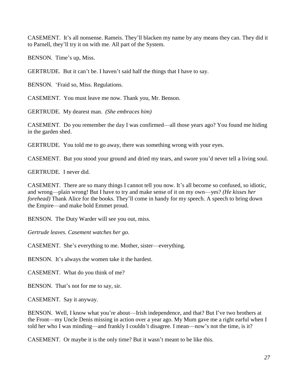CASEMENT. It's all nonsense. Rameis. They'll blacken my name by any means they can. They did it to Parnell, they'll try it on with me. All part of the System.

BENSON. Time's up, Miss.

GERTRUDE. But it can't be. I haven't said half the things that I have to say.

BENSON. 'Fraid so, Miss. Regulations.

CASEMENT. You must leave me now. Thank you, Mr. Benson.

GERTRUDE. My dearest man. *(She embraces him)*

CASEMENT. Do you remember the day I was confirmed—all those years ago? You found me hiding in the garden shed.

GERTRUDE. You told me to go away, there was something wrong with your eyes.

CASEMENT. But you stood your ground and dried my tears, and swore you'd never tell a living soul.

GERTRUDE. I never did.

CASEMENT. There are so many things I cannot tell you now. It's all become so confused, so idiotic, and wrong—plain wrong! But I have to try and make sense of it on my own—yes? *(He kisses her forehead*) Thank Alice for the books. They'll come in handy for my speech. A speech to bring down the Empire—and make bold Emmet proud.

BENSON. The Duty Warder will see you out, miss.

*Gertrude leaves. Casement watches her go.*

CASEMENT. She's everything to me. Mother, sister—everything.

BENSON. It's always the women take it the hardest.

CASEMENT. What do you think of me?

BENSON. That's not for me to say, sir.

CASEMENT. Say it anyway.

BENSON. Well, I know what you're about—Irish independence, and that? But I've two brothers at the Front—my Uncle Denis missing in action over a year ago. My Mum gave me a right earful when I told her who I was minding—and frankly I couldn't disagree. I mean—now's not the time, is it?

CASEMENT. Or maybe it is the only time? But it wasn't meant to be like this.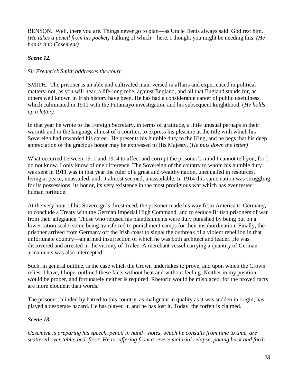BENSON. Well, there you are. Things never go to plan—as Uncle Denis always said. God rest him. *(He takes a pencil from his pocket)* Talking of which—here. I thought you might be needing this. *(He hands it to Casement)*

# *Scene 12.*

## *Sir Frederick Smith addresses the court.*

SMITH. The prisoner is an able and cultivated man, versed in affairs and experienced in political matters: not, as you will hear, a life-long rebel against England, and all that England stands for, as others well known in Irish history have been. He has had a considerable career of public usefulness, which culminated in 1911 with the Putumayo investigation and his subsequent knighthood. (*He holds up a letter)*

In that year he wrote to the Foreign Secretary, in terms of gratitude, a little unusual perhaps in their warmth and in the language almost of a courtier, to express his pleasure at the title with which his Sovereign had rewarded his career. He presents his humble duty to the King, and he begs that his deep appreciation of the gracious honor may be expressed to His Majesty. (*He puts down the letter)* 

What occurred between 1911 and 1914 to affect and corrupt the prisoner's mind I cannot tell you, for I do not know. I only know of one difference. The Sovereign of the country to whom his humble duty was sent in 1911 was in that year the ruler of a great and wealthy nation, unequalled in resources, living at peace, unassailed, and, it almost seemed, unassailable. In 1914 this same nation was struggling for its possessions, its honor, its very existence in the most prodigious war which has ever tested human fortitude.

At the very hour of his Sovereign's direst need, the prisoner made his way from America to Germany, to conclude a Treaty with the German Imperial High Command, and to seduce British prisoners of war from their allegiance. Those who refused his blandishments were duly punished by being put on a lower ration scale, some being transferred to punishment camps for their insubordination. Finally, the prisoner arrived from Germany off the Irish coast to signal the outbreak of a violent rebellion in that unfortunate country—an armed insurrection of which he was both architect and leader. He was discovered and arrested in the vicinity of Tralee. A merchant vessel carrying a quantity of German armaments was also intercepted.

Such, in general outline, is the case which the Crown undertakes to prove, and upon which the Crown relies. I have, I hope, outlined these facts without heat and without feeling. Neither in my position would be proper, and fortunately neither is required. Rhetoric would be misplaced, for the proved facts are more eloquent than words.

The prisoner, blinded by hatred to this country, as malignant in quality as it was sudden in origin, has played a desperate hazard. He has played it, and he has lost it. Today, the forfeit is claimed.

### *Scene 13.*

*Casement is preparing his speech, pencil in hand—notes, which he consults from time to time, are scattered over table, bed, floor. He is suffering from a severe malarial relapse, pacing back and forth.*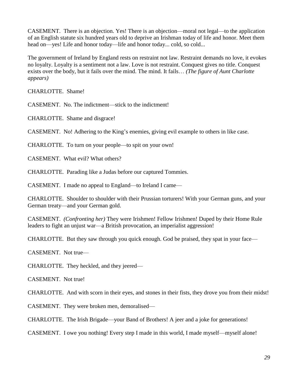CASEMENT.There is an objection. Yes! There is an objection—moral not legal—to the application of an English statute six hundred years old to deprive an Irishman today of life and honor. Meet them head on—yes! Life and honor today—life and honor today... cold, so cold...

The government of Ireland by England rests on restraint not law. Restraint demands no love, it evokes no loyalty. Loyalty is a sentiment not a law. Love is not restraint. Conquest gives no title. Conquest exists over the body, but it fails over the mind. The mind. It fails… *(The figure of Aunt Charlotte appears)* 

CHARLOTTE. Shame!

CASEMENT. No. The indictment—stick to the indictment!

CHARLOTTE. Shame and disgrace!

CASEMENT. No! Adhering to the King's enemies, giving evil example to others in like case.

CHARLOTTE. To turn on your people—to spit on your own!

CASEMENT. What evil? What others?

CHARLOTTE. Parading like a Judas before our captured Tommies.

CASEMENT. I made no appeal to England—to Ireland I came—

CHARLOTTE. Shoulder to shoulder with their Prussian torturers! With your German guns, and your German treaty—and your German gold.

CASEMENT. *(Confronting her)* They were Irishmen! Fellow Irishmen! Duped by their Home Rule leaders to fight an unjust war—a British provocation, an imperialist aggression!

CHARLOTTE. But they saw through you quick enough. God be praised, they spat in your face—

CASEMENT. Not true—

CHARLOTTE. They heckled, and they jeered—

CASEMENT. Not true!

CHARLOTTE. And with scorn in their eyes, and stones in their fists, they drove you from their midst!

CASEMENT. They were broken men, demoralised—

CHARLOTTE. The Irish Brigade—your Band of Brothers! A jeer and a joke for generations!

CASEMENT. I owe you nothing! Every step I made in this world, I made myself—myself alone!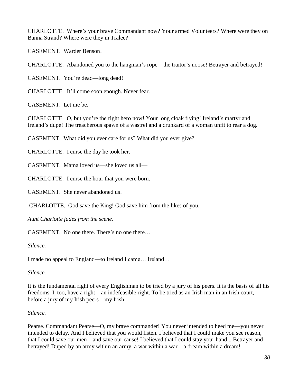CHARLOTTE. Where's your brave Commandant now? Your armed Volunteers? Where were they on Banna Strand? Where were they in Tralee?

CASEMENT. Warder Benson!

CHARLOTTE. Abandoned you to the hangman's rope—the traitor's noose! Betrayer and betrayed!

CASEMENT. You're dead—long dead!

CHARLOTTE. It'll come soon enough. Never fear.

CASEMENT. Let me be.

CHARLOTTE. O, but you're the right hero now! Your long cloak flying! Ireland's martyr and Ireland's dupe! The treacherous spawn of a wastrel and a drunkard of a woman unfit to rear a dog.

CASEMENT. What did you ever care for us? What did you ever give?

CHARLOTTE. I curse the day he took her.

CASEMENT. Mama loved us—she loved us all—

CHARLOTTE. I curse the hour that you were born.

CASEMENT. She never abandoned us!

CHARLOTTE. God save the King! God save him from the likes of you.

*Aunt Charlotte fades from the scene.*

CASEMENT. No one there. There's no one there…

*Silence.* 

I made no appeal to England—to Ireland I came… Ireland…

*Silence.* 

It is the fundamental right of every Englishman to be tried by a jury of his peers. It is the basis of all his freedoms. I, too, have a right—an indefeasible right. To be tried as an Irish man in an Irish court, before a jury of my Irish peers—my Irish—

### *Silence.*

Pearse. Commandant Pearse—O, my brave commander! You never intended to heed me—you never intended to delay. And I believed that you would listen. I believed that I could make you see reason, that I could save our men—and save our cause! I believed that I could stay your hand... Betrayer and betrayed! Duped by an army within an army, a war within a war—a dream within a dream!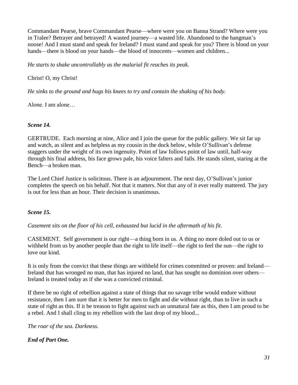Commandant Pearse, brave Commandant Pearse—where were you on Banna Strand? Where were you in Tralee? Betrayer and betrayed! A wasted journey—a wasted life. Abandoned to the hangman's noose! And I must stand and speak for Ireland? I must stand and speak for you? There is blood on your hands—there is blood on your hands—the blood of innocents—women and children...

*He starts to shake uncontrollably as the malarial fit reaches its peak.* 

# Christ! O, my Christ!

*He sinks to the ground and hugs his knees to try and contain the shaking of his body.* 

Alone. I am alone…

# *Scene 14.*

GERTRUDE.Each morning at nine, Alice and I join the queue for the public gallery. We sit far up and watch, as silent and as helpless as my cousin in the dock below, while O'Sullivan's defense staggers under the weight of its own ingenuity. Point of law follows point of law until, half-way through his final address, his face grows pale, his voice falters and fails. He stands silent, staring at the Bench—a broken man.

The Lord Chief Justice is solicitous. There is an adjournment. The next day, O'Sullivan's junior completes the speech on his behalf. Not that it matters. Not that any of it ever really mattered. The jury is out for less than an hour. Their decision is unanimous.

### *Scene 15.*

*Casement sits on the floor of his cell, exhausted but lucid in the aftermath of his fit.* 

CASEMENT. Self government is our right—a thing born in us. A thing no more doled out to us or withheld from us by another people than the right to life itself—the right to feel the sun—the right to love our kind.

It is only from the convict that these things are withheld for crimes committed or proven: and Ireland— Ireland that has wronged no man, that has injured no land, that has sought no dominion over others— Ireland is treated today as if she was a convicted criminal.

If there be no right of rebellion against a state of things that no savage tribe would endure without resistance, then I am sure that it is better for men to fight and die without right, than to live in such a state of right as this. If it be treason to fight against such an unnatural fate as this, then I am proud to be a rebel. And I shall cling to my rebellion with the last drop of my blood...

*The roar of the sea. Darkness.* 

# *End of Part One.*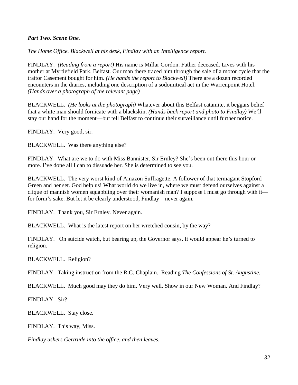#### *Part Two. Scene One.*

*The Home Office. Blackwell at his desk, Findlay with an Intelligence report.*

FINDLAY. *(Reading from a report)* His name is Millar Gordon. Father deceased. Lives with his mother at Myrtlefield Park, Belfast. Our man there traced him through the sale of a motor cycle that the traitor Casement bought for him. *(He hands the report to Blackwell)* There are a dozen recorded encounters in the diaries, including one description of a sodomitical act in the Warrenpoint Hotel. *(Hands over a photograph of the relevant page)*

BLACKWELL. *(He looks at the photograph)* Whatever about this Belfast catamite, it beggars belief that a white man should fornicate with a blackskin. *(Hands back report and photo to Findlay)* We'll stay our hand for the moment—but tell Belfast to continue their surveillance until further notice.

FINDLAY. Very good, sir.

BLACKWELL. Was there anything else?

FINDLAY. What are we to do with Miss Bannister, Sir Ernley? She's been out there this hour or more. I've done all I can to dissuade her. She is determined to see you.

BLACKWELL. The very worst kind of Amazon Suffragette. A follower of that termagant Stopford Green and her set. God help us! What world do we live in, where we must defend ourselves against a clique of mannish women squabbling over their womanish man? I suppose I must go through with it for form's sake. But let it be clearly understood, Findlay—never again.

FINDLAY. Thank you, Sir Ernley. Never again.

BLACKWELL. What is the latest report on her wretched cousin, by the way?

FINDLAY. On suicide watch, but bearing up, the Governor says. It would appear he's turned to religion.

BLACKWELL. Religion?

FINDLAY. Taking instruction from the R.C. Chaplain. Reading *The Confessions of St. Augustine*.

BLACKWELL. Much good may they do him. Very well. Show in our New Woman. And Findlay?

FINDLAY. Sir?

BLACKWELL. Stay close.

FINDLAY.This way, Miss.

*Findlay ushers Gertrude into the office, and then leaves.*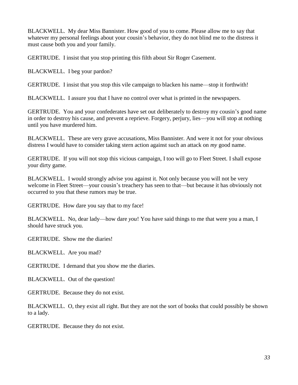BLACKWELL. My dear Miss Bannister. How good of you to come. Please allow me to say that whatever my personal feelings about your cousin's behavior, they do not blind me to the distress it must cause both you and your family.

GERTRUDE. I insist that you stop printing this filth about Sir Roger Casement.

BLACKWELL. I beg your pardon?

GERTRUDE. I insist that you stop this vile campaign to blacken his name—stop it forthwith!

BLACKWELL. I assure you that I have no control over what is printed in the newspapers.

GERTRUDE. You and your confederates have set out deliberately to destroy my cousin's good name in order to destroy his cause, and prevent a reprieve. Forgery, perjury, lies—you will stop at nothing until you have murdered him.

BLACKWELL. These are very grave accusations, Miss Bannister. And were it not for your obvious distress I would have to consider taking stern action against such an attack on *my* good name.

GERTRUDE. If you will not stop this vicious campaign, I too will go to Fleet Street. I shall expose your dirty game.

BLACKWELL. I would strongly advise you against it. Not only because you will not be very welcome in Fleet Street—your cousin's treachery has seen to that—but because it has obviously not occurred to you that these rumors may be true.

GERTRUDE. How dare you say that to my face!

BLACKWELL. No, dear lady—how dare *you*! You have said things to me that were you a man, I should have struck you.

GERTRUDE. Show me the diaries!

BLACKWELL. Are you mad?

GERTRUDE. I demand that you show me the diaries.

BLACKWELL. Out of the question!

GERTRUDE. Because they do not exist.

BLACKWELL. O, they exist all right. But they are not the sort of books that could possibly be shown to a lady.

GERTRUDE. Because they do not exist.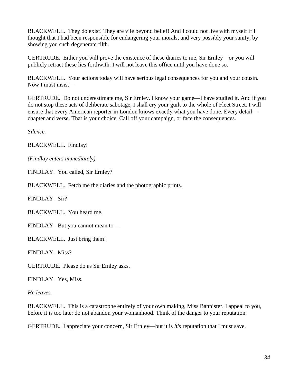BLACKWELL. They do exist! They are vile beyond belief! And I could not live with myself if I thought that I had been responsible for endangering your morals, and very possibly your sanity, by showing you such degenerate filth.

GERTRUDE. Either you will prove the existence of these diaries to me, Sir Ernley—or you will publicly retract these lies forthwith. I will not leave this office until you have done so.

BLACKWELL. Your actions today will have serious legal consequences for you and your cousin. Now I must insist—

GERTRUDE. Do not underestimate me, Sir Ernley. I know your game—I have studied it. And if you do not stop these acts of deliberate sabotage, I shall cry your guilt to the whole of Fleet Street. I will ensure that every American reporter in London knows exactly what you have done. Every detail chapter and verse. That is your choice. Call off your campaign, or face the consequences.

*Silence.*

BLACKWELL. Findlay!

*(Findlay enters immediately)*

FINDLAY. You called, Sir Ernley?

BLACKWELL. Fetch me the diaries and the photographic prints.

FINDLAY. Sir?

BLACKWELL. You heard me.

FINDLAY. But you cannot mean to—

BLACKWELL. Just bring them!

FINDLAY.Miss?

GERTRUDE. Please do as Sir Ernley asks.

FINDLAY. Yes, Miss.

*He leaves.*

BLACKWELL. This is a catastrophe entirely of your own making, Miss Bannister. I appeal to you, before it is too late: do not abandon your womanhood. Think of the danger to your reputation.

GERTRUDE. I appreciate your concern, Sir Ernley—but it is *his* reputation that I must save.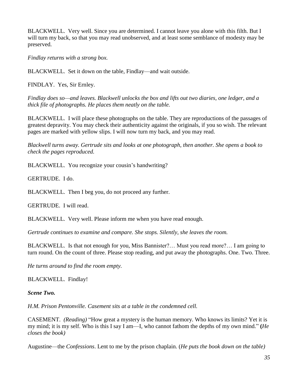BLACKWELL. Very well. Since you are determined. I cannot leave you alone with this filth. But I will turn my back, so that you may read unobserved, and at least some semblance of modesty may be preserved.

*Findlay returns with a strong box.*

BLACKWELL. Set it down on the table, Findlay—and wait outside.

FINDLAY. Yes, Sir Ernley.

*Findlay does so—and leaves. Blackwell unlocks the box and lifts out two diaries, one ledger, and a thick file of photographs. He places them neatly on the table.*

BLACKWELL. I will place these photographs on the table. They are reproductions of the passages of greatest depravity. You may check their authenticity against the originals, if you so wish. The relevant pages are marked with yellow slips. I will now turn my back, and you may read.

*Blackwell turns away. Gertrude sits and looks at one photograph, then another. She opens a book to check the pages reproduced.*

BLACKWELL. You recognize your cousin's handwriting?

GERTRUDE. I do.

BLACKWELL. Then I beg you, do not proceed any further.

GERTRUDE. I will read.

BLACKWELL. Very well. Please inform me when you have read enough.

*Gertrude continues to examine and compare. She stops. Silently, she leaves the room.*

BLACKWELL. Is that not enough for you, Miss Bannister?… Must you read more?… I am going to turn round. On the count of three. Please stop reading, and put away the photographs. One. Two. Three.

*He turns around to find the room empty.* 

BLACKWELL.Findlay!

*Scene Two.*

*H.M. Prison Pentonville. Casement sits at a table in the condemned cell.*

CASEMENT. *(Reading)* "How great a mystery is the human memory. Who knows its limits? Yet it is my mind; it is my self. Who is this I say I am—I, who cannot fathom the depths of my own mind." **(***He closes the book)*

Augustine—the *Confessions*. Lent to me by the prison chaplain. (*He puts the book down on the table)*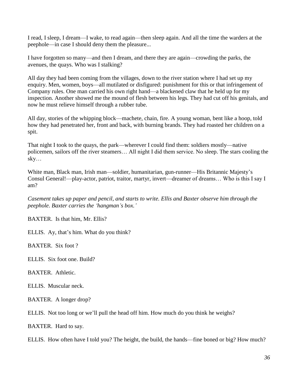I read, I sleep, I dream—I wake, to read again—then sleep again. And all the time the warders at the peephole—in case I should deny them the pleasure...

I have forgotten so many—and then I dream, and there they are again—crowding the parks, the avenues, the quays. Who was I stalking?

All day they had been coming from the villages, down to the river station where I had set up my enquiry. Men, women, boys—all mutilated or disfigured: punishment for this or that infringement of Company rules. One man carried his own right hand—a blackened claw that he held up for my inspection. Another showed me the mound of flesh between his legs. They had cut off his genitals, and now he must relieve himself through a rubber tube.

All day, stories of the whipping block—machete, chain, fire. A young woman, bent like a hoop, told how they had penetrated her, front and back, with burning brands. They had roasted her children on a spit.

That night I took to the quays, the park—wherever I could find them: soldiers mostly—native policemen, sailors off the river steamers… All night I did them service. No sleep. The stars cooling the sky…

White man, Black man, Irish man—soldier, humanitarian, gun-runner—His Britannic Majesty's Consul General!—play-actor, patriot, traitor, martyr, invert—dreamer of dreams… Who is this I say I am?

*Casement takes up paper and pencil, and starts to write. Ellis and Baxter observe him through the peephole. Baxter carries the 'hangman's box.'*

BAXTER. Is that him, Mr. Ellis?

ELLIS. Ay, that's him. What do you think?

BAXTER.Six foot ?

ELLIS. Six foot one. Build?

BAXTER.Athletic.

ELLIS. Muscular neck.

BAXTER. A longer drop?

ELLIS. Not too long or we'll pull the head off him. How much do you think he weighs?

BAXTER. Hard to say.

ELLIS.How often have I told you? The height, the build, the hands—fine boned or big? How much?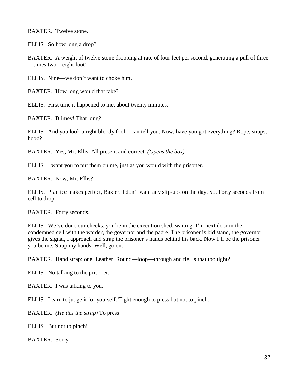BAXTER. Twelve stone.

ELLIS. So how long a drop?

BAXTER. A weight of twelve stone dropping at rate of four feet per second, generating a pull of three —times two—eight foot!

ELLIS. Nine—we don't want to choke him.

BAXTER. How long would that take?

ELLIS.First time it happened to me, about twenty minutes.

BAXTER. Blimey! That long?

ELLIS. And you look a right bloody fool, I can tell you. Now, have you got everything? Rope, straps, hood?

BAXTER. Yes, Mr. Ellis. All present and correct. *(Opens the box)*

ELLIS. I want you to put them on me, just as you would with the prisoner.

BAXTER. Now, Mr. Ellis?

ELLIS. Practice makes perfect, Baxter. I don't want any slip-ups on the day. So. Forty seconds from cell to drop.

BAXTER. Forty seconds.

ELLIS. We've done our checks, you're in the execution shed, waiting. I'm next door in the condemned cell with the warder, the governor and the padre. The prisoner is bid stand, the governor gives the signal, I approach and strap the prisoner's hands behind his back. Now I'll be the prisoner you be me. Strap my hands. Well, go on.

BAXTER. Hand strap: one. Leather. Round—loop—through and tie. Is that too tight?

ELLIS. No talking to the prisoner.

BAXTER. I was talking to you.

ELLIS. Learn to judge it for yourself. Tight enough to press but not to pinch.

BAXTER. *(He ties the strap)* To press—

ELLIS. But not to pinch!

BAXTER. Sorry.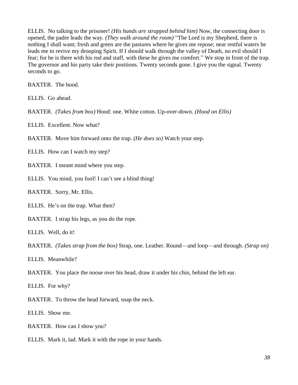ELLIS. No talking to the prisoner! *(His hands are strapped behind him)* Now, the connecting door is opened, the padre leads the way. *(They walk around the room)* "The Lord is my Shepherd, there is nothing I shall want; fresh and green are the pastures where he gives me repose; near restful waters he leads me to revive my drooping Spirit. If I should walk through the valley of Death, no evil should I fear; for he is there with his rod and staff, with these he gives me comfort." We stop in front of the trap. The governor and his party take their positions. Twenty seconds gone. I give you the signal. Twenty seconds to go.

BAXTER. The hood.

ELLIS. Go ahead.

BAXTER. *(Takes from box)* Hood: one. White cotton. Up-over-down. *(Hood on Ellis)*

ELLIS.Excellent. Now what?

BAXTER. Move him forward onto the trap. *(He does so)* Watch your step.

ELLIS. How can I watch my step?

BAXTER. I meant mind where you step.

ELLIS. You mind, you fool! I can't see a blind thing!

BAXTER. Sorry, Mr. Ellis.

ELLIS. He's on the trap. What then?

BAXTER. I strap his legs, as you do the rope.

ELLIS. Well, do it!

BAXTER. *(Takes strap from the box)* Strap, one. Leather. Round—and loop—and through. *(Strap on)*

ELLIS. Meanwhile?

BAXTER. You place the noose over his head, draw it under his chin, behind the left ear.

ELLIS.For why?

BAXTER. To throw the head forward, snap the neck.

ELLIS. Show me.

BAXTER. How can I show you?

ELLIS. Mark it, lad. Mark it with the rope in your hands.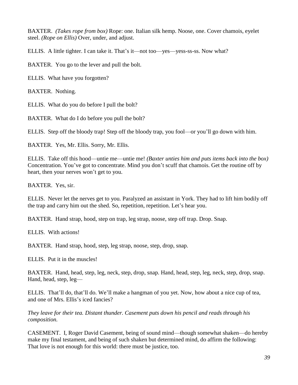BAXTER. *(Takes rope from box)* Rope: one. Italian silk hemp. Noose, one. Cover chamois, eyelet steel. *(Rope on Ellis)* Over, under, and adjust.

ELLIS. A little tighter. I can take it. That's it—not too—yes—yess-ss-ss. Now what?

BAXTER. You go to the lever and pull the bolt.

ELLIS. What have you forgotten?

BAXTER. Nothing.

ELLIS. What do you do before I pull the bolt?

BAXTER. What do I do before you pull the bolt?

ELLIS. Step off the bloody trap! Step off the bloody trap, you fool—or you'll go down with him.

BAXTER. Yes, Mr. Ellis. Sorry, Mr. Ellis.

ELLIS. Take off this hood—untie me—untie me! *(Baxter unties him and puts items back into the box)* Concentration. You've got to concentrate. Mind you don't scuff that chamois. Get the routine off by heart, then your nerves won't get to you.

BAXTER. Yes, sir.

ELLIS. Never let the nerves get to you. Paralyzed an assistant in York. They had to lift him bodily off the trap and carry him out the shed. So, repetition, repetition. Let's hear you.

BAXTER. Hand strap, hood, step on trap, leg strap, noose, step off trap. Drop. Snap.

ELLIS. With actions!

BAXTER. Hand strap, hood, step, leg strap, noose, step, drop, snap.

ELLIS. Put it in the muscles!

BAXTER. Hand, head, step, leg, neck, step, drop, snap. Hand, head, step, leg, neck, step, drop, snap. Hand, head, step, leg—

ELLIS. That'll do, that'll do. We'll make a hangman of you yet. Now, how about a nice cup of tea, and one of Mrs. Ellis's iced fancies?

*They leave for their tea. Distant thunder. Casement puts down his pencil and reads through his composition.*

CASEMENT. I, Roger David Casement, being of sound mind—though somewhat shaken—do hereby make my final testament, and being of such shaken but determined mind, do affirm the following: That love is not enough for this world: there must be justice, too.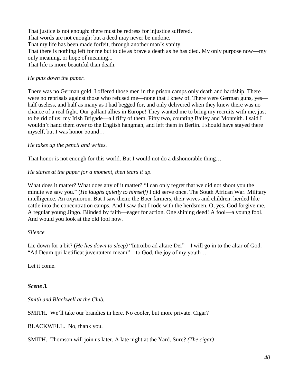That justice is not enough: there must be redress for injustice suffered. That words are not enough: but a deed may never be undone. That my life has been made forfeit, through another man's vanity. That there is nothing left for me but to die as brave a death as he has died. My only purpose now—my only meaning, or hope of meaning... That life is more beautiful than death.

#### *He puts down the paper.*

There was no German gold. I offered those men in the prison camps only death and hardship. There were no reprisals against those who refused me—none that I knew of. There were German guns, yes half useless, and half as many as I had begged for, and only delivered when they knew there was no chance of a real fight. Our gallant allies in Europe! They wanted me to bring my recruits with me, just to be rid of us: my Irish Brigade—all fifty of them. Fifty two, counting Bailey and Monteith. I said I wouldn't hand them over to the English hangman, and left them in Berlin. I should have stayed there myself, but I was honor bound…

#### *He takes up the pencil and writes.*

That honor is not enough for this world. But I would not do a dishonorable thing...

#### *He stares at the paper for a moment, then tears it up.*

What does it matter? What does any of it matter? "I can only regret that we did not shoot you the minute we saw you." (*He laughs quietly to himself)* I did serve once. The South African War. Military intelligence. An oxymoron. But I saw them: the Boer farmers, their wives and children: herded like cattle into the concentration camps. And I saw that I rode with the herdsmen. O, yes. God forgive me. A regular young Jingo. Blinded by faith—eager for action. One shining deed! A fool—a young fool. And would you look at the old fool now.

#### *Silence*

Lie down for a bit? (*He lies down to sleep)* "Introibo ad altare Dei"—I will go in to the altar of God. "Ad Deum qui laetificat juventutem meam"—to God, the joy of my youth…

Let it come.

### *Scene 3.*

*Smith and Blackwell at the Club.* 

SMITH. We'll take our brandies in here. No cooler, but more private. Cigar?

BLACKWELL. No, thank you.

SMITH. Thomson will join us later. A late night at the Yard. Sure? *(The cigar)*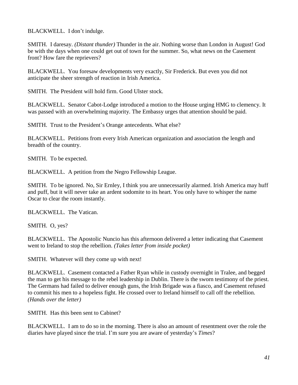BLACKWELL. I don't indulge.

SMITH. I daresay. *(Distant thunder)* Thunder in the air. Nothing worse than London in August! God be with the days when one could get out of town for the summer. So, what news on the Casement front? How fare the reprievers?

BLACKWELL. You foresaw developments very exactly, Sir Frederick. But even you did not anticipate the sheer strength of reaction in Irish America.

SMITH. The President will hold firm. Good Ulster stock.

BLACKWELL. Senator Cabot-Lodge introduced a motion to the House urging HMG to clemency. It was passed with an overwhelming majority. The Embassy urges that attention should be paid.

SMITH.Trust to the President's Orange antecedents. What else?

BLACKWELL. Petitions from every Irish American organization and association the length and breadth of the country.

SMITH. To be expected.

BLACKWELL. A petition from the Negro Fellowship League.

SMITH. To be ignored. No, Sir Ernley, I think you are unnecessarily alarmed. Irish America may huff and puff, but it will never take an ardent sodomite to its heart. You only have to whisper the name Oscar to clear the room instantly.

BLACKWELL. The Vatican.

SMITH. O, yes?

BLACKWELL. The Apostolic Nuncio has this afternoon delivered a letter indicating that Casement went to Ireland to stop the rebellion. *(Takes letter from inside pocket)*

SMITH. Whatever will they come up with next!

BLACKWELL. Casement contacted a Father Ryan while in custody overnight in Tralee, and begged the man to get his message to the rebel leadership in Dublin. There is the sworn testimony of the priest. The Germans had failed to deliver enough guns, the Irish Brigade was a fiasco, and Casement refused to commit his men to a hopeless fight. He crossed over to Ireland himself to call off the rebellion. *(Hands over the letter)*

SMITH. Has this been sent to Cabinet?

BLACKWELL. I am to do so in the morning. There is also an amount of resentment over the role the diaries have played since the trial. I'm sure you are aware of yesterday's *Times*?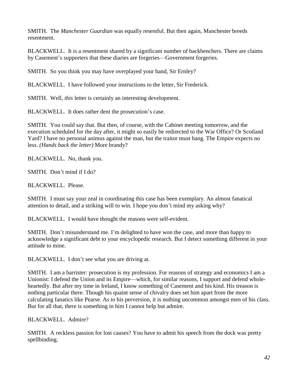SMITH. The *Manchester Guardian* was equally resentful. But then again, Manchester breeds resentment.

BLACKWELL. It is a resentment shared by a significant number of backbenchers. There are claims by Casement's supporters that these diaries are forgeries—Government forgeries.

SMITH. So you think you may have overplayed your hand, Sir Ernley?

BLACKWELL. I have followed your instructions to the letter, Sir Frederick.

SMITH. Well, *this* letter is certainly an interesting development.

BLACKWELL. It does rather dent the prosecution's case.

SMITH. You could say that. But then, of course, with the Cabinet meeting tomorrow, and the execution scheduled for the day after, it might so easily be redirected to the War Office? Or Scotland Yard? I have no personal animus against the man, but the traitor must hang. The Empire expects no less. *(Hands back the letter)* More brandy?

BLACKWELL. No, thank you.

SMITH. Don't mind if I do?

BLACKWELL. Please.

SMITH. I must say your zeal in coordinating this case has been exemplary. An almost fanatical attention to detail, and a striking will to win. I hope you don't mind my asking why?

BLACKWELL. I would have thought the reasons were self-evident.

SMITH. Don't misunderstand me. I'm delighted to have won the case, and more than happy to acknowledge a significant debt to your encyclopedic research. But I detect something different in your attitude to mine.

BLACKWELL. I don't see what you are driving at.

SMITH. I am a barrister: prosecution is my profession. For reasons of strategy and economics I am a Unionist: I defend the Union and its Empire—which, for similar reasons, I support and defend wholeheartedly. But after my time in Ireland, I know something of Casement and his kind. His treason is nothing particular there. Though his quaint sense of chivalry does set him apart from the more calculating fanatics like Pearse. As to his perversion, it is nothing uncommon amongst men of his class. But for all that, there is something in him I cannot help but admire.

BLACKWELL. Admire?

SMITH. A reckless passion for lost causes? You have to admit his speech from the dock was pretty spellbinding.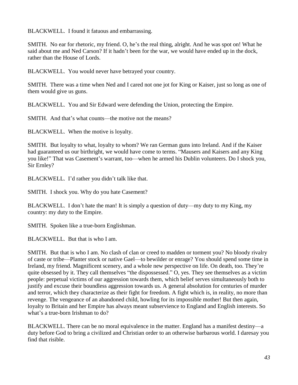BLACKWELL. I found it fatuous and embarrassing.

SMITH. No ear for rhetoric, my friend. O, he's the real thing, alright. And he was spot on! What he said about me and Ned Carson? If it hadn't been for the war, we would have ended up in the dock, rather than the House of Lords.

BLACKWELL. You would never have betrayed your country.

SMITH. There was a time when Ned and I cared not one jot for King or Kaiser, just so long as one of them would give us guns.

BLACKWELL. You and Sir Edward were defending the Union, protecting the Empire.

SMITH. And that's what counts—the motive not the means?

BLACKWELL. When the motive is loyalty.

SMITH. But loyalty to what, loyalty to whom? We ran German guns into Ireland. And if the Kaiser had guaranteed us our birthright, we would have come to terms. "Mausers and Kaisers and any King you like!" That was Casement's warrant, too—when he armed his Dublin volunteers. Do I shock you, Sir Ernley?

BLACKWELL. I'd rather you didn't talk like that.

SMITH. I shock you. Why do you hate Casement?

BLACKWELL. I don't hate the man! It is simply a question of duty—my duty to my King, my country: my duty to the Empire.

SMITH. Spoken like a true-born Englishman.

BLACKWELL. But that is who I am.

SMITH. But that is who I am. No clash of clan or creed to madden or torment you? No bloody rivalry of caste or tribe—Planter stock or native Gael—to bewilder or enrage? You should spend some time in Ireland, my friend. Magnificent scenery, and a whole new perspective on life. On death, too. They're quite obsessed by it. They call themselves "the dispossessed." O, yes. They see themselves as a victim people: perpetual victims of our aggression towards them, which belief serves simultaneously both to justify and excuse their boundless aggression towards us. A general absolution for centuries of murder and terror, which they characterize as their fight for freedom. A fight which is, in reality, no more than revenge. The vengeance of an abandoned child, howling for its impossible mother! But then again, loyalty to Britain and her Empire has always meant subservience to England and English interests. So what's a true-born Irishman to do?

BLACKWELL. There can be no moral equivalence in the matter. England has a manifest destiny—a duty before God to bring a civilized and Christian order to an otherwise barbarous world. I daresay you find that risible.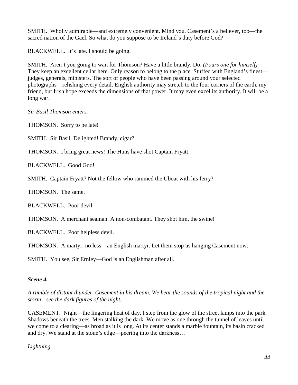SMITH. Wholly admirable—and extremely convenient. Mind you, Casement's a believer, too—the sacred nation of the Gael. So what do you suppose to be Ireland's duty before God?

BLACKWELL. It's late. I should be going.

SMITH. Aren't you going to wait for Thomson? Have a little brandy. Do. *(Pours one for himself)* They keep an excellent cellar here. Only reason to belong to the place. Stuffed with England's finest judges, generals, ministers. The sort of people who have been passing around your selected photographs—relishing every detail. English authority may stretch to the four corners of the earth, my friend, but Irish hope exceeds the dimensions of that power. It may even excel its authority. It will be a long war.

*Sir Basil Thomson enters.*

THOMSON. Sorry to be late!

SMITH. Sir Basil. Delighted! Brandy, cigar?

THOMSON. I bring great news! The Huns have shot Captain Fryatt.

BLACKWELL. Good God!

SMITH. Captain Fryatt? Not the fellow who rammed the Uboat with his ferry?

THOMSON. The same.

BLACKWELL. Poor devil.

THOMSON. A merchant seaman. A non-combatant. They shot him, the swine!

BLACKWELL. Poor helpless devil.

THOMSON. A martyr, no less—an English martyr. Let them stop us hanging Casement now.

SMITH. You see, Sir Ernley—God is an Englishman after all.

### *Scene 4.*

*A rumble of distant thunder. Casement in his dream. We hear the sounds of the tropical night and the storm—see the dark figures of the night.*

CASEMENT. Night—the lingering heat of day. I step from the glow of the street lamps into the park. Shadows beneath the trees. Men stalking the dark. We move as one through the tunnel of leaves until we come to a clearing—as broad as it is long. At its center stands a marble fountain, its basin cracked and dry. We stand at the stone's edge—peering into the darkness…

*Lightning.*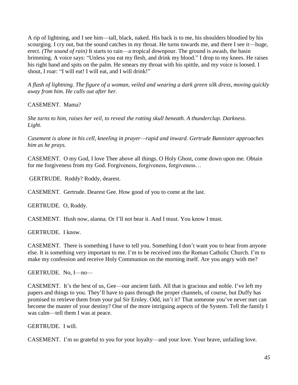A rip of lightning, and I see him—tall, black, naked. His back is to me, his shoulders bloodied by his scourging. I cry out, but the sound catches in my throat. He turns towards me, and there I see it—huge, erect. *(The sound of rain)* It starts to rain—a tropical downpour. The ground is awash, the basin brimming. A voice says: "Unless you eat my flesh, and drink my blood." I drop to my knees. He raises his right hand and spits on the palm. He smears my throat with his spittle, and my voice is loosed. I shout, I roar: "I will eat! I will eat, and I will drink!"

*A flash of lightning. The figure of a woman, veiled and wearing a dark green silk dress, moving quickly away from him. He calls out after her.*

CASEMENT. Mama?

*She turns to him, raises her veil, to reveal the rotting skull beneath. A thunderclap. Darkness. Light.* 

*Casement is alone in his cell, kneeling in prayer—rapid and inward. Gertrude Bannister approaches him as he prays.*

CASEMENT. O my God, I love Thee above all things. O Holy Ghost, come down upon me. Obtain for me forgiveness from my God. Forgiveness, forgiveness, forgiveness…

GERTRUDE. Roddy? Roddy, dearest.

CASEMENT. Gertrude. Dearest Gee. How good of you to come at the last.

GERTRUDE. O, Roddy.

CASEMENT. Hush now, alanna. Or I'll not bear it. And I must. You know I must.

GERTRUDE. I know.

CASEMENT. There is something I have to tell you. Something I don't want you to hear from anyone else. It is something very important to me. I'm to be received into the Roman Catholic Church. I'm to make my confession and receive Holy Communion on the morning itself. Are you angry with me?

GERTRUDE. No, I—no—

CASEMENT. It's the best of us, Gee—our ancient faith. All that is gracious and noble. I've left my papers and things to you. They'll have to pass through the proper channels, of course, but Duffy has promised to retrieve them from your pal Sir Ernley. Odd, isn't it? That someone you've never met can become the master of your destiny? One of the more intriguing aspects of the System. Tell the family I was calm—tell them I was at peace.

GERTRUDE. I will.

CASEMENT. I'm so grateful to you for your loyalty—and your love. Your brave, unfailing love.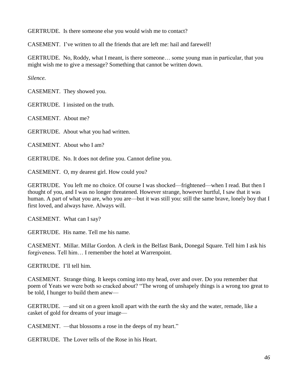GERTRUDE. Is there someone else you would wish me to contact?

CASEMENT. I've written to all the friends that are left me: hail and farewell!

GERTRUDE. No, Roddy, what I meant, is there someone… some young man in particular, that you might wish me to give a message? Something that cannot be written down.

*Silence.*

CASEMENT. They showed you.

GERTRUDE. I insisted on the truth.

CASEMENT. About me?

GERTRUDE. About what you had written.

CASEMENT. About who I am?

GERTRUDE. No. It does not define you. Cannot define you.

CASEMENT. O, my dearest girl. How could you?

GERTRUDE. You left me no choice. Of course I was shocked—frightened—when I read. But then I thought of you, and I was no longer threatened. However strange, however hurtful, I saw that it was human. A part of what you are, who you are—but it was still you: still the same brave, lonely boy that I first loved, and always have. Always will.

CASEMENT. What can I say?

GERTRUDE. His name. Tell me his name.

CASEMENT. Millar. Millar Gordon. A clerk in the Belfast Bank, Donegal Square. Tell him I ask his forgiveness. Tell him… I remember the hotel at Warrenpoint.

GERTRUDE. I'll tell him.

CASEMENT. Strange thing. It keeps coming into my head, over and over. Do you remember that poem of Yeats we were both so cracked about? "The wrong of unshapely things is a wrong too great to be told, I hunger to build them anew—

GERTRUDE. —and sit on a green knoll apart with the earth the sky and the water, remade, like a casket of gold for dreams of your image—

CASEMENT. —that blossoms a rose in the deeps of my heart."

GERTRUDE. The Lover tells of the Rose in his Heart.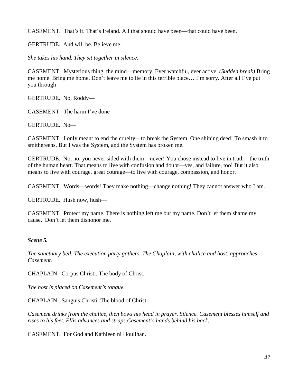CASEMENT. That's it. That's Ireland. All that should have been—that could have been.

GERTRUDE. And will be. Believe me.

*She takes his hand. They sit together in silence.*

CASEMENT. Mysterious thing, the mind—memory. Ever watchful, ever active. *(Sudden break)* Bring me home. Bring me home. Don't leave me to lie in this terrible place… I'm sorry. After all I've put you through—

GERTRUDE. No, Roddy—

CASEMENT. The harm I've done—

GERTRUDE. No—

CASEMENT. I only meant to end the cruelty—to break the System. One shining deed! To smash it to smithereens. But I was the System, and the System has broken me.

GERTRUDE.No, no, you never sided with them—never! You chose instead to live in truth—the truth of the human heart. That means to live with confusion and doubt—yes, and failure, too! But it also means to live with courage, great courage—to live with courage, compassion, and honor.

CASEMENT.Words—words! They make nothing—change nothing! They cannot answer who I am.

GERTRUDE. Hush now, hush—

CASEMENT. Protect my name. There is nothing left me but my name. Don't let them shame my cause. Don't let them dishonor me.

#### *Scene 5.*

*The sanctuary bell. The execution party gathers. The Chaplain, with chalice and host, approaches Casement.*

CHAPLAIN.Corpus Christi. The body of Christ.

*The host is placed on Casement's tongue.*

CHAPLAIN. Sanguis Christi. The blood of Christ.

*Casement drinks from the chalice, then bows his head in prayer. Silence. Casement blesses himself and rises to his feet. Ellis advances and straps Casement's hands behind his back.*

CASEMENT. For God and Kathleen ni Houlihan.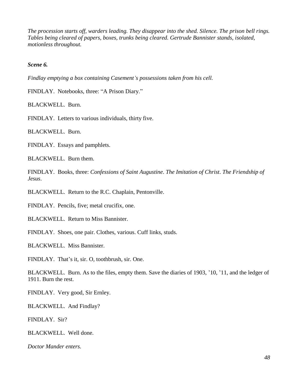*The procession starts off, warders leading. They disappear into the shed. Silence. The prison bell rings. Tables being cleared of papers, boxes, trunks being cleared. Gertrude Bannister stands, isolated, motionless throughout.*

*Scene 6.*

*Findlay emptying a box containing Casement's possessions taken from his cell.*

FINDLAY. Notebooks, three: "A Prison Diary."

BLACKWELL. Burn.

FINDLAY. Letters to various individuals, thirty five.

BLACKWELL. Burn.

FINDLAY. Essays and pamphlets.

BLACKWELL. Burn them.

FINDLAY. Books, three: *Confessions of Saint Augustine*. *The Imitation of Christ*. *The Friendship of Jesus*.

BLACKWELL. Return to the R.C. Chaplain, Pentonville.

FINDLAY. Pencils, five; metal crucifix, one.

BLACKWELL. Return to Miss Bannister.

FINDLAY. Shoes, one pair. Clothes, various. Cuff links, studs.

BLACKWELL. Miss Bannister.

FINDLAY. That's it, sir. O, toothbrush, sir. One.

BLACKWELL. Burn. As to the files, empty them. Save the diaries of 1903, '10, '11, and the ledger of 1911. Burn the rest.

FINDLAY. Very good, Sir Ernley.

BLACKWELL. And Findlay?

FINDLAY.Sir?

BLACKWELL. Well done.

*Doctor Mander enters.*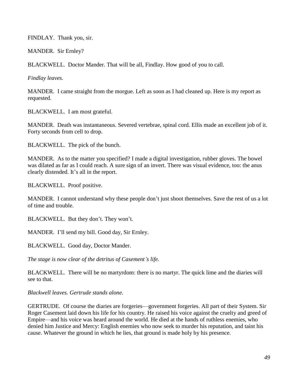FINDLAY. Thank you, sir.

MANDER. Sir Ernley?

BLACKWELL. Doctor Mander. That will be all, Findlay. How good of you to call.

*Findlay leaves.*

MANDER. I came straight from the morgue. Left as soon as I had cleaned up. Here is my report as requested.

BLACKWELL. I am most grateful.

MANDER. Death was instantaneous. Severed vertebrae, spinal cord. Ellis made an excellent job of it. Forty seconds from cell to drop.

BLACKWELL.The pick of the bunch.

MANDER. As to the matter you specified? I made a digital investigation, rubber gloves. The bowel was dilated as far as I could reach. A sure sign of an invert. There was visual evidence, too: the anus clearly distended. It's all in the report.

BLACKWELL. Proof positive.

MANDER. I cannot understand why these people don't just shoot themselves. Save the rest of us a lot of time and trouble.

BLACKWELL. But they don't. They won't.

MANDER. I'll send my bill. Good day, Sir Ernley.

BLACKWELL. Good day, Doctor Mander.

*The stage is now clear of the detritus of Casement's life.*

BLACKWELL. There will be no martyrdom: there is no martyr. The quick lime and the diaries will see to that.

*Blackwell leaves. Gertrude stands alone.*

GERTRUDE. Of course the diaries are forgeries—government forgeries. All part of their System. Sir Roger Casement laid down his life for his country. He raised his voice against the cruelty and greed of Empire—and his voice was heard around the world. He died at the hands of ruthless enemies, who denied him Justice and Mercy: English enemies who now seek to murder his reputation, and taint his cause. Whatever the ground in which he lies, that ground is made holy by his presence.